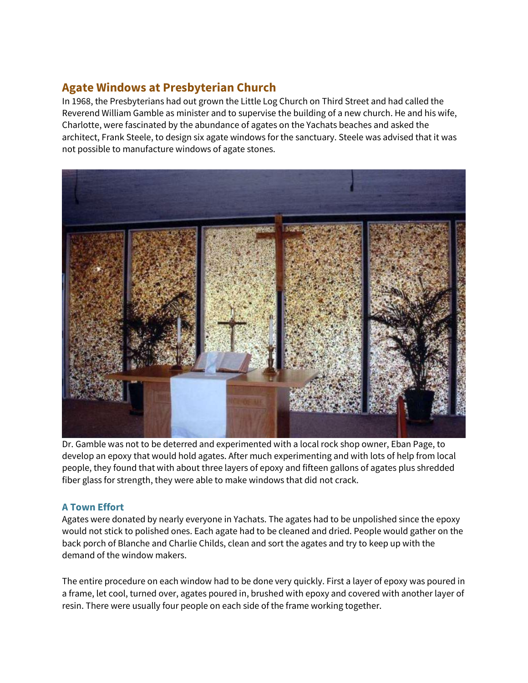## **Agate Windows at Presbyterian Church**

In 1968, the Presbyterians had out grown the Little Log Church on Third Street and had called the Reverend William Gamble as minister and to supervise the building of a new church. He and his wife, Charlotte, were fascinated by the abundance of agates on the Yachats beaches and asked the architect, Frank Steele, to design six agate windows for the sanctuary. Steele was advised that it was not possible to manufacture windows of agate stones.



Dr. Gamble was not to be deterred and experimented with a local rock shop owner, Eban Page, to develop an epoxy that would hold agates. After much experimenting and with lots of help from local people, they found that with about three layers of epoxy and fifteen gallons of agates plus shredded fiber glass for strength, they were able to make windows that did not crack.

## **A Town Effort**

Agates were donated by nearly everyone in Yachats. The agates had to be unpolished since the epoxy would not stick to polished ones. Each agate had to be cleaned and dried. People would gather on the back porch of Blanche and Charlie Childs, clean and sort the agates and try to keep up with the demand of the window makers.

The entire procedure on each window had to be done very quickly. First a layer of epoxy was poured in a frame, let cool, turned over, agates poured in, brushed with epoxy and covered with another layer of resin. There were usually four people on each side of the frame working together.